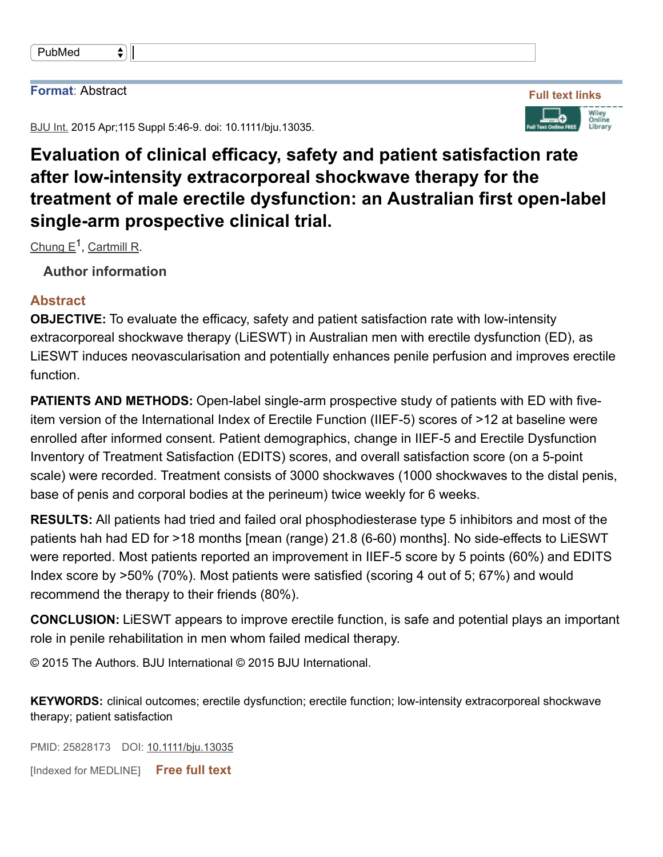| PubMed |  |
|--------|--|
|--------|--|

 $\bullet$ ]

## **Format**: Abstract

BJU Int. 2015 Apr; 115 Suppl 5:46-9. doi: 10.1111/bju.13035.

## **Evaluation of clinical efficacy, safety and patient satisfaction rate after lowintensity extracorporeal shockwave therapy for the treatment of male erectile dysfunction: an Australian first openlabel single-arm prospective clinical trial.**

Chung E<sup>1</sup>, Cartmill R.

**Author information**

## **Abstract**

**OBJECTIVE:** To evaluate the efficacy, safety and patient satisfaction rate with low-intensity extracorporeal shockwave therapy (LiESWT) in Australian men with erectile dysfunction (ED), as LiESWT induces neovascularisation and potentially enhances penile perfusion and improves erectile function.

**PATIENTS AND METHODS:** Open-label single-arm prospective study of patients with ED with fiveitem version of the International Index of Erectile Function (IIEF-5) scores of >12 at baseline were enrolled after informed consent. Patient demographics, change in IIEF-5 and Erectile Dysfunction Inventory of Treatment Satisfaction (EDITS) scores, and overall satisfaction score (on a 5-point scale) were recorded. Treatment consists of 3000 shockwaves (1000 shockwaves to the distal penis, base of penis and corporal bodies at the perineum) twice weekly for 6 weeks.

**RESULTS:** All patients had tried and failed oral phosphodiesterase type 5 inhibitors and most of the patients hah had ED for >18 months [mean (range) 21.8 (6-60) months]. No side-effects to LiESWT were reported. Most patients reported an improvement in IIEF-5 score by 5 points (60%) and EDITS Index score by >50% (70%). Most patients were satisfied (scoring 4 out of 5; 67%) and would recommend the therapy to their friends (80%).

**CONCLUSION:** LiESWT appears to improve erectile function, is safe and potential plays an important role in penile rehabilitation in men whom failed medical therapy.

© 2015 The Authors. BJU International © 2015 BJU International.

KEYWORDS: clinical outcomes; erectile dysfunction; erectile function; low-intensity extracorporeal shockwave therapy; patient satisfaction

PMID: 25828173 DOI: 10.1111/bju.13035

[Indexed for MEDLINE] **Free full text**



**Full text links**